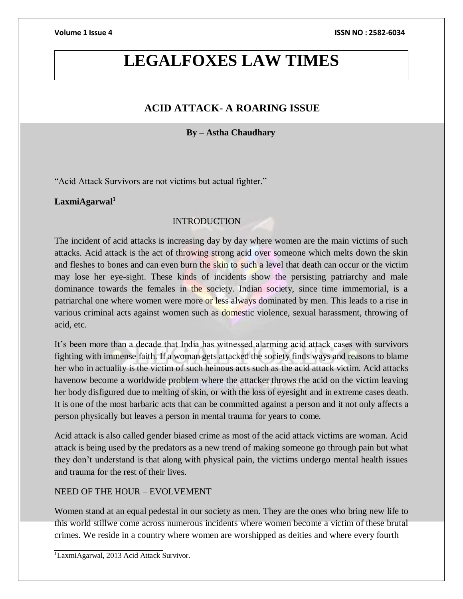## **LEGALFOXES LAW TIMES**

## **ACID ATTACK- A ROARING ISSUE**

## **By – Astha Chaudhary**

"Acid Attack Survivors are not victims but actual fighter."

#### **LaxmiAgarwal<sup>1</sup>**

## INTRODUCTION

The incident of acid attacks is increasing day by day where women are the main victims of such attacks. Acid attack is the act of throwing strong acid over someone which melts down the skin and fleshes to bones and can even burn the skin to such a level that death can occur or the victim may lose her eye-sight. These kinds of incidents show the persisting patriarchy and male dominance towards the females in the society. Indian society, since time immemorial, is a patriarchal one where women were more or less always dominated by men. This leads to a rise in various criminal acts against women such as domestic violence, sexual harassment, throwing of acid, etc.

It's been more than a decade that India has witnessed alarming acid attack cases with survivors fighting with immense faith. If a woman gets attacked the society finds ways and reasons to blame her who in actuality is the victim of such heinous acts such as the acid attack victim. Acid attacks havenow become a worldwide problem where the attacker throws the acid on the victim leaving her body disfigured due to melting of skin, or with the loss of eyesight and in extreme cases death. It is one of the most barbaric acts that can be committed against a person and it not only affects a person physically but leaves a person in mental trauma for years to come.

Acid attack is also called gender biased crime as most of the acid attack victims are woman. Acid attack is being used by the predators as a new trend of making someone go through pain but what they don't understand is that along with physical pain, the victims undergo mental health issues and trauma for the rest of their lives.

#### NEED OF THE HOUR – EVOLVEMENT

Women stand at an equal pedestal in our society as men. They are the ones who bring new life to this world stillwe come across numerous incidents where women become a victim of these brutal crimes. We reside in a country where women are worshipped as deities and where every fourth

<sup>&</sup>lt;sup>1</sup>LaxmiAgarwal, 2013 Acid Attack Survivor.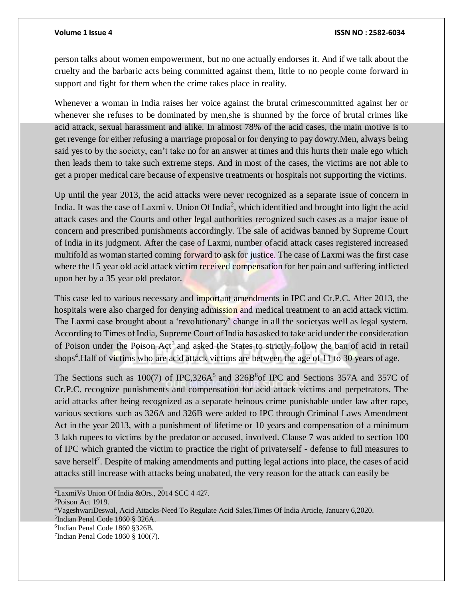#### **Volume 1 Issue 4 ISSN NO : 2582-6034**

person talks about women empowerment, but no one actually endorses it. And if we talk about the cruelty and the barbaric acts being committed against them, little to no people come forward in support and fight for them when the crime takes place in reality.

Whenever a woman in India raises her voice against the brutal crimescommitted against her or whenever she refuses to be dominated by men,she is shunned by the force of brutal crimes like acid attack, sexual harassment and alike. In almost 78% of the acid cases, the main motive is to get revenge for either refusing a marriage proposal or for denying to pay dowry.Men, always being said yes to by the society, can't take no for an answer at times and this hurts their male ego which then leads them to take such extreme steps. And in most of the cases, the victims are not able to get a proper medical care because of expensive treatments or hospitals not supporting the victims.

Up until the year 2013, the acid attacks were never recognized as a separate issue of concern in India. It was the case of Laxmi v. Union Of India<sup>2</sup>, which identified and brought into light the acid attack cases and the Courts and other legal authorities recognized such cases as a major issue of concern and prescribed punishments accordingly. The sale of acidwas banned by Supreme Court of India in its judgment. After the case of Laxmi, number ofacid attack cases registered increased multifold as woman started coming forward to ask for justice. The case of Laxmi was the first case where the 15 year old acid attack victim received compensation for her pain and suffering inflicted upon her by a 35 year old predator.

This case led to various necessary and important amendments in IPC and Cr.P.C. After 2013, the hospitals were also charged for denying admission and medical treatment to an acid attack victim. The Laxmi case brought about a 'revolutionary' change in all the societyas well as legal system. According to Times of India, Supreme Court of India has asked to take acid under the consideration of Poison under the Poison Act<sup>3</sup> and asked the States to strictly follow the ban of acid in retail shops<sup>4</sup>. Half of victims who are acid attack victims are between the age of 11 to 30 years of age.

The Sections such as  $100(7)$  of IPC, 326A<sup>5</sup> and 326B<sup>6</sup> of IPC and Sections 357A and 357C of Cr.P.C. recognize punishments and compensation for acid attack victims and perpetrators. The acid attacks after being recognized as a separate heinous crime punishable under law after rape, various sections such as 326A and 326B were added to IPC through Criminal Laws Amendment Act in the year 2013, with a punishment of lifetime or 10 years and compensation of a minimum 3 lakh rupees to victims by the predator or accused, involved. Clause 7 was added to section 100 of IPC which granted the victim to practice the right of private/self - defense to full measures to save herself<sup>7</sup>. Despite of making amendments and putting legal actions into place, the cases of acid attacks still increase with attacks being unabated, the very reason for the attack can easily be

<sup>2</sup>LaxmiVs Union Of India &Ors., 2014 SCC 4 427.

<sup>3</sup>Poison Act 1919.

<sup>4</sup>VageshwariDeswal, Acid Attacks-Need To Regulate Acid Sales,Times Of India Article, January 6,2020.

<sup>5</sup> Indian Penal Code 1860 § 326A.

<sup>6</sup> Indian Penal Code 1860 §326B.

<sup>7</sup> Indian Penal Code 1860 § 100(7).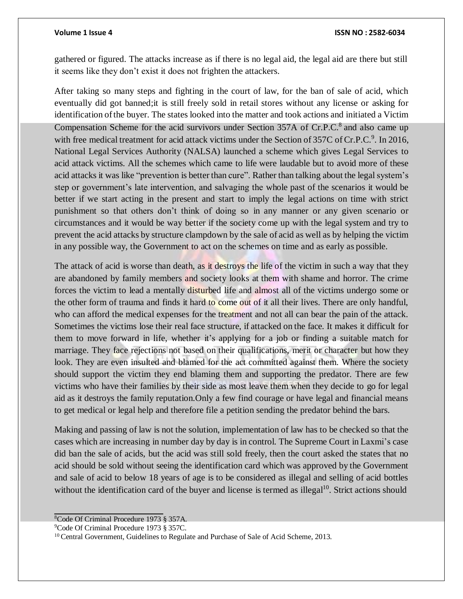gathered or figured. The attacks increase as if there is no legal aid, the legal aid are there but still it seems like they don't exist it does not frighten the attackers.

After taking so many steps and fighting in the court of law, for the ban of sale of acid, which eventually did got banned;it is still freely sold in retail stores without any license or asking for identification ofthe buyer. The states looked into the matter and took actions and initiated a Victim Compensation Scheme for the acid survivors under Section 357A of Cr.P.C.<sup>8</sup> and also came up with free medical treatment for acid attack victims under the Section of 357C of Cr.P.C.<sup>9</sup>. In 2016, National Legal Services Authority (NALSA) launched a scheme which gives Legal Services to acid attack victims. All the schemes which came to life were laudable but to avoid more of these acid attacks it was like "prevention is better than cure". Rather than talking about the legal system's step or government's late intervention, and salvaging the whole past of the scenarios it would be better if we start acting in the present and start to imply the legal actions on time with strict punishment so that others don't think of doing so in any manner or any given scenario or circumstances and it would be way better if the society come up with the legal system and try to prevent the acid attacks by structure clampdown by the sale of acid as well as by helping the victim in any possible way, the Government to act on the schemes on time and as early as possible.

The attack of acid is worse than death, as it destroys the life of the victim in such a way that they are abandoned by family members and society looks at them with shame and horror. The crime forces the victim to lead a mentally disturbed life and almost all of the victims undergo some or the other form of trauma and finds it hard to come out of it all their lives. There are only handful, who can afford the medical expenses for the treatment and not all can bear the pain of the attack. Sometimes the victims lose their real face structure, if attacked on the face. It makes it difficult for them to move forward in life, whether it's applying for a job or finding a suitable match for marriage. They face rejections not based on their qualifications, merit or character but how they look. They are even insulted and blamed for the act committed against them. Where the society should support the victim they end blaming them and supporting the predator. There are few victims who have their families by their side as most leave them when they decide to go for legal aid as it destroys the family reputation.Only a few find courage or have legal and financial means to get medical or legal help and therefore file a petition sending the predator behind the bars.

Making and passing of law is not the solution, implementation of law has to be checked so that the cases which are increasing in number day by day is in control. The Supreme Court in Laxmi's case did ban the sale of acids, but the acid was still sold freely, then the court asked the states that no acid should be sold without seeing the identification card which was approved by the Government and sale of acid to below 18 years of age is to be considered as illegal and selling of acid bottles without the identification card of the buyer and license is termed as illegal<sup>10</sup>. Strict actions should

<sup>8</sup>Code Of Criminal Procedure 1973 § 357A.

<sup>9</sup>Code Of Criminal Procedure 1973 § 357C.

<sup>&</sup>lt;sup>10</sup> Central Government, Guidelines to Regulate and Purchase of Sale of Acid Scheme, 2013.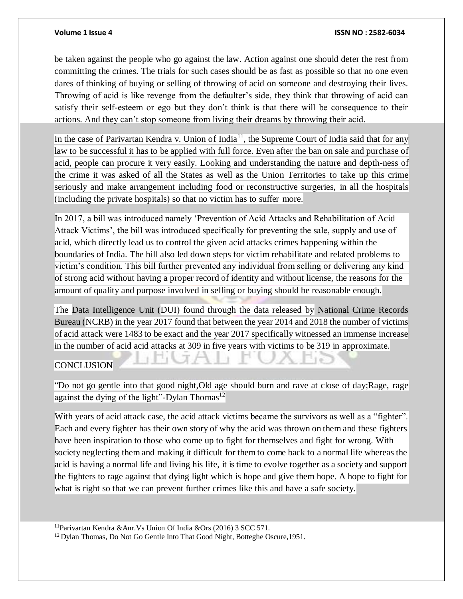be taken against the people who go against the law. Action against one should deter the rest from committing the crimes. The trials for such cases should be as fast as possible so that no one even dares of thinking of buying or selling of throwing of acid on someone and destroying their lives. Throwing of acid is like revenge from the defaulter's side, they think that throwing of acid can satisfy their self-esteem or ego but they don't think is that there will be consequence to their actions. And they can't stop someone from living their dreams by throwing their acid.

In the case of Parivartan Kendra v. Union of India<sup>11</sup>, the Supreme Court of India said that for any law to be successful it has to be applied with full force. Even after the ban on sale and purchase of acid, people can procure it very easily. Looking and understanding the nature and depth-ness of the crime it was asked of all the States as well as the Union Territories to take up this crime seriously and make arrangement including food or reconstructive surgeries, in all the hospitals (including the private hospitals) so that no victim has to suffer more.

In 2017, a bill was introduced namely 'Prevention of Acid Attacks and Rehabilitation of Acid Attack Victims', the bill was introduced specifically for preventing the sale, supply and use of acid, which directly lead us to control the given acid attacks crimes happening within the boundaries of India. The bill also led down steps for victim rehabilitate and related problems to victim's condition. This bill further prevented any individual from selling or delivering any kind of strong acid without having a proper record of identity and without license, the reasons for the amount of quality and purpose involved in selling or buying should be reasonable enough.

The Data Intelligence Unit (DUI) found through the data released by National Crime Records Bureau (NCRB) in the year 2017 found that between the year 2014 and 2018 the number of victims of acid attack were 1483 to be exact and the year 2017 specifically witnessed an immense increase in the number of acid acid attacks at 309 in five years with victims to be 319 in approximate.

 $\rightarrow$ 

## **CONCLUSION**

"Do not go gentle into that good night,Old age should burn and rave at close of day;Rage, rage against the dying of the light"-Dylan Thomas<sup>12</sup>

With years of acid attack case, the acid attack victims became the survivors as well as a "fighter". Each and every fighter has their own story of why the acid was thrown on them and these fighters have been inspiration to those who come up to fight for themselves and fight for wrong. With society neglecting them and making it difficult for them to come back to a normal life whereas the acid is having a normal life and living his life, it istime to evolve together as a society and support the fighters to rage against that dying light which is hope and give them hope. A hope to fight for what is right so that we can prevent further crimes like this and have a safe society.

<sup>11</sup>Parivartan Kendra &Anr.Vs Union Of India &Ors (2016) 3 SCC 571.

<sup>12</sup> Dylan Thomas, Do Not Go Gentle Into That Good Night, Botteghe Oscure, 1951.